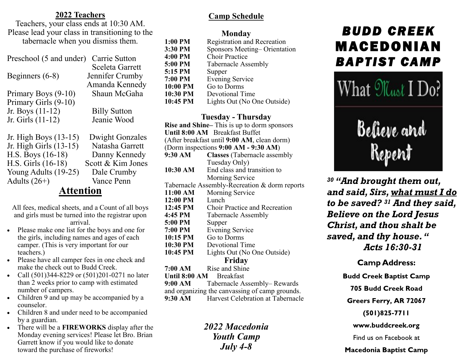#### **2022 Teachers**

Teachers, your class ends at 10:30 AM. Please lead your class in transitioning to the tabernacle when you dismiss them.

| Preschool (5 and under) | Carrie Sutton          |
|-------------------------|------------------------|
|                         | Sceleta Garrett        |
| Beginners $(6-8)$       | Jennifer Crumby        |
|                         | Amanda Kennedy         |
| Primary Boys (9-10)     | Shaun McGaha           |
| Primary Girls (9-10)    |                        |
| Jr. Boys (11-12)        | <b>Billy Sutton</b>    |
| Jr. Girls (11-12)       | Jeanie Wood            |
| Jr. High Boys (13-15)   | <b>Dwight Gonzales</b> |
| Jr. High Girls (13-15)  | Natasha Garrett        |
| H.S. Boys (16-18)       | Danny Kennedy          |

H.S. Girls (16-18) Scott & Kim Jones Young Adults (19-25) Dale Crumby Adults (26+) Vance Penn

**Attention**

All fees, medical sheets, and a Count of all boys and girls must be turned into the registrar upon arrival.

- Please make one list for the boys and one for the girls, including names and ages of each camper. (This is very important for our teachers.)
- Please have all camper fees in one check and make the check out to Budd Creek.
- Call (501)344-8229 or (501)201-0271 no later than 2 weeks prior to camp with estimated number of campers.
- Children 9 and up may be accompanied by a counselor.
- Children 8 and under need to be accompanied by a guardian.
- There will be a **FIREWORKS** display after the Monday evening services! Please let Bro. Brian Garrett know if you would like to donate toward the purchase of fireworks!

## **Camp Schedule**

#### **Monday**

| 1:00 PM  | <b>Registration and Recreation</b> |
|----------|------------------------------------|
| 3:30 PM  | Sponsors Meeting–Orientation       |
| 4:00 PM  | <b>Choir Practice</b>              |
| 5:00 PM  | <b>Tabernacle Assembly</b>         |
| 5:15 PM  | Supper                             |
| 7:00 PM  | <b>Evening Service</b>             |
| 10:00 PM | Go to Dorms                        |
| 10:30 PM | Devotional Time                    |
| 10:45 PM | Lights Out (No One Outside)        |
|          |                                    |

#### **Tuesday - Thursday**

|                                                | Rise and Shine-This is up to dorm sponsors  |  |
|------------------------------------------------|---------------------------------------------|--|
|                                                | Until 8:00 AM Breakfast Buffet              |  |
|                                                | (After breakfast until 9:00 AM, clean dorm) |  |
| (Dorm inspections $9:00$ AM - $9:30$ AM)       |                                             |  |
| 9:30 AM                                        | <b>Classes</b> (Tabernacle assembly         |  |
|                                                | Tuesday Only)                               |  |
| 10:30 AM                                       | End class and transition to                 |  |
|                                                | Morning Service                             |  |
| Tabernacle Assembly-Recreation & dorm reports  |                                             |  |
| 11:00 AM                                       | Morning Service                             |  |
| 12:00 PM                                       | Lunch                                       |  |
| 12:45 PM                                       | <b>Choir Practice and Recreation</b>        |  |
| 4:45 PM                                        | Tabernacle Assembly                         |  |
| 5:00 PM                                        | Supper                                      |  |
| 7:00 PM                                        | <b>Evening Service</b>                      |  |
| 10:15 PM                                       | <b>Go to Dorms</b>                          |  |
| 10:30 PM                                       | Devotional Time                             |  |
| 10:45 PM                                       | Lights Out (No One Outside)                 |  |
| Friday                                         |                                             |  |
| 7:00 AM                                        | Rise and Shine                              |  |
| Until 8:00 AM Breakfast                        |                                             |  |
|                                                | 9:00 AM Tabernacle Assembly– Rewards        |  |
| and organizing the canvassing of camp grounds. |                                             |  |
|                                                | 9:30 AM Harvest Celebration at Tabernacle   |  |
|                                                |                                             |  |

*2022 Macedonia Youth Camp July 4-8*

# *BUDD CREEK*  MACEDONIAN *BAPTIST CAMP*



*<sup>30</sup> "And brought them out, and said, Sirs, what must I do to be saved? <sup>31</sup> And they said, Believe on the Lord Jesus Christ, and thou shalt be saved, and thy house. " Acts 16:30-31*

## **Camp Address:**

**Budd Creek Baptist Camp** 

**705 Budd Creek Road** 

Greers Ferry, AR 72067

 $(501)825 - 7711$ 

www.buddcreek.org

Find us on Facebook at

**Macedonia Baptist Camp**